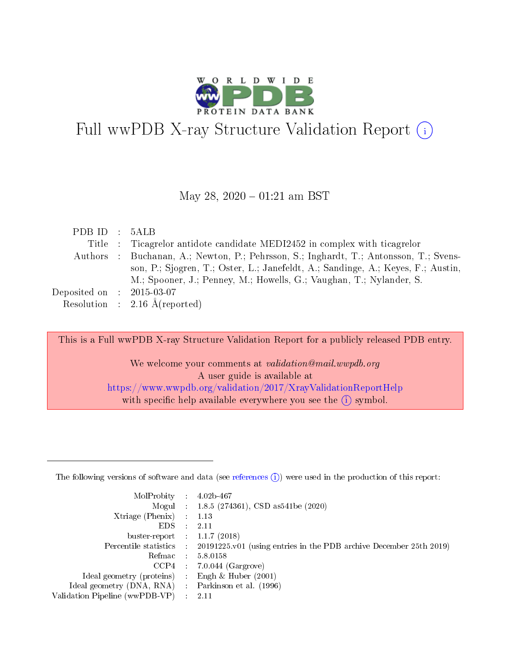

# Full wwPDB X-ray Structure Validation Report  $(i)$

#### May 28,  $2020 - 01:21$  am BST

| PDBID : 5ALB                |                                                                                       |
|-----------------------------|---------------------------------------------------------------------------------------|
|                             | Title : Ticagrelor antidote candidate MEDI2452 in complex with ticagrelor             |
|                             | Authors : Buchanan, A.; Newton, P.; Pehrsson, S.; Inghardt, T.; Antonsson, T.; Svens- |
|                             | son, P.; Sjogren, T.; Oster, L.; Janefeldt, A.; Sandinge, A.; Keyes, F.; Austin,      |
|                             | M.; Spooner, J.; Penney, M.; Howells, G.; Vaughan, T.; Nylander, S.                   |
| Deposited on : $2015-03-07$ |                                                                                       |
|                             | Resolution : $2.16 \text{ Å}$ (reported)                                              |

This is a Full wwPDB X-ray Structure Validation Report for a publicly released PDB entry.

We welcome your comments at validation@mail.wwpdb.org A user guide is available at <https://www.wwpdb.org/validation/2017/XrayValidationReportHelp> with specific help available everywhere you see the  $(i)$  symbol.

The following versions of software and data (see [references](https://www.wwpdb.org/validation/2017/XrayValidationReportHelp#references)  $(1)$ ) were used in the production of this report:

| MolProbity :                   |               | $4.02b - 467$                                                               |
|--------------------------------|---------------|-----------------------------------------------------------------------------|
|                                |               | Mogul : $1.8.5$ (274361), CSD as 541be (2020)                               |
| Xtriage (Phenix)               | $\mathcal{L}$ | 1.13                                                                        |
| EDS.                           |               | 2.11                                                                        |
| buster-report : $1.1.7$ (2018) |               |                                                                             |
| Percentile statistics :        |               | $20191225 \text{v}01$ (using entries in the PDB archive December 25th 2019) |
| Refmac :                       |               | 5.8.0158                                                                    |
| CCP4                           |               | $7.0.044$ (Gargrove)                                                        |
| Ideal geometry (proteins) :    |               | Engh & Huber $(2001)$                                                       |
| Ideal geometry (DNA, RNA) :    |               | Parkinson et al. (1996)                                                     |
| Validation Pipeline (wwPDB-VP) | $\mathcal{L}$ | 2.11                                                                        |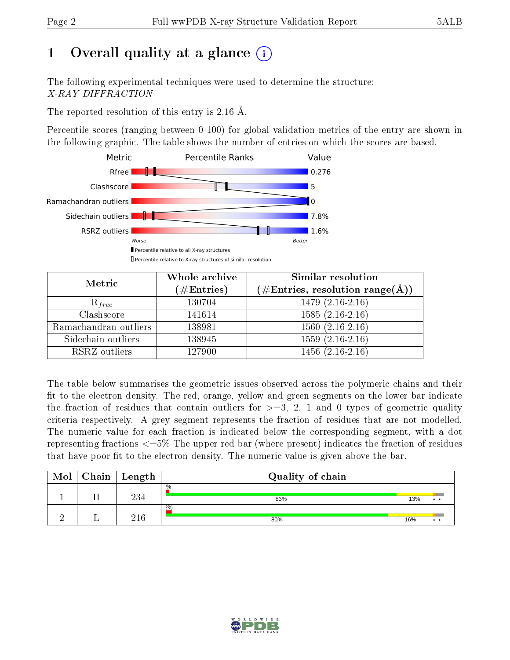# 1 [O](https://www.wwpdb.org/validation/2017/XrayValidationReportHelp#overall_quality)verall quality at a glance  $(i)$

The following experimental techniques were used to determine the structure: X-RAY DIFFRACTION

The reported resolution of this entry is 2.16 Å.

Percentile scores (ranging between 0-100) for global validation metrics of the entry are shown in the following graphic. The table shows the number of entries on which the scores are based.



| Metric                | Whole archive<br>$(\#\text{Entries})$ | Similar resolution<br>$(\#\text{Entries},\,\text{resolution}\,\,\text{range}(\textup{\AA}))$ |
|-----------------------|---------------------------------------|----------------------------------------------------------------------------------------------|
| $R_{free}$            | 130704                                | $1479(2.16-2.16)$                                                                            |
| Clashscore            | 141614                                | $1585(2.16-2.16)$                                                                            |
| Ramachandran outliers | 138981                                | $1560(2.16-2.16)$                                                                            |
| Sidechain outliers    | 138945                                | $1559(2.16-2.16)$                                                                            |
| RSRZ outliers         | 127900                                | $1456(2.16-2.16)$                                                                            |

The table below summarises the geometric issues observed across the polymeric chains and their fit to the electron density. The red, orange, yellow and green segments on the lower bar indicate the fraction of residues that contain outliers for  $>=3, 2, 1$  and 0 types of geometric quality criteria respectively. A grey segment represents the fraction of residues that are not modelled. The numeric value for each fraction is indicated below the corresponding segment, with a dot representing fractions <=5% The upper red bar (where present) indicates the fraction of residues that have poor fit to the electron density. The numeric value is given above the bar.

| Mol | Chain | ' Length | Quality of chain |     |                       |
|-----|-------|----------|------------------|-----|-----------------------|
|     |       | 234      | $\%$<br>83%      | 13% | $\cdot$ $\cdot$       |
|     |       | 91 R     | $2\%$<br>80%     | 16% | $\bullet\quad\bullet$ |

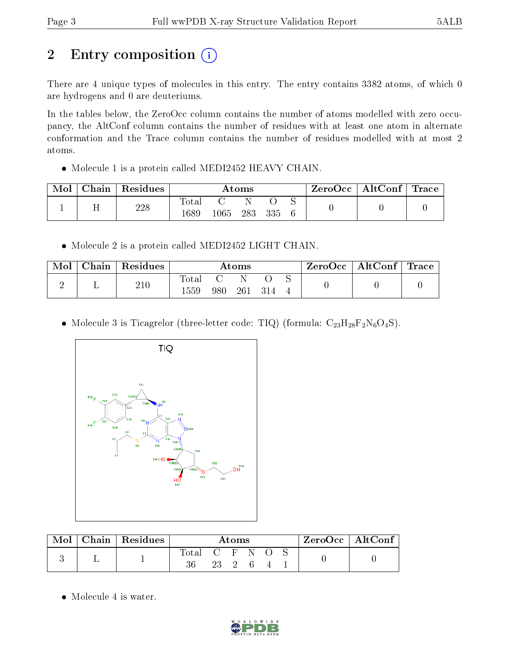# 2 Entry composition (i)

There are 4 unique types of molecules in this entry. The entry contains 3382 atoms, of which 0 are hydrogens and 0 are deuteriums.

In the tables below, the ZeroOcc column contains the number of atoms modelled with zero occupancy, the AltConf column contains the number of residues with at least one atom in alternate conformation and the Trace column contains the number of residues modelled with at most 2 atoms.

• Molecule 1 is a protein called MEDI2452 HEAVY CHAIN.

| Mol | Chain | $\perp$ Residues | Atoms                |      |     | $\rm{ZeroOcc}$   $\rm{AltConf}$   $\rm{Trace}$ |  |  |  |
|-----|-------|------------------|----------------------|------|-----|------------------------------------------------|--|--|--|
|     | . .   | 228              | <b>Total</b><br>1689 | 1065 | 283 | 335                                            |  |  |  |

• Molecule 2 is a protein called MEDI2452 LIGHT CHAIN.

| Mol | $\cap$ hain | Residues |              |     | $\rm{Atoms}$ |  | ZeroOcc | $\mid$ AltConf $\mid$ Trace $\mid$ |  |
|-----|-------------|----------|--------------|-----|--------------|--|---------|------------------------------------|--|
|     |             | 210      | Tota<br>1559 | 980 | 261          |  |         |                                    |  |
|     |             |          |              |     |              |  |         |                                    |  |

• Molecule 3 is Ticagrelor (three-letter code: TIQ) (formula:  $C_{23}H_{28}F_2N_6O_4S$ ).



| Mol | Chain   Residues $\frac{1}{2}$ | Atoms             |        |  |  | $ZeroOcc \mid AltConf \mid$ |  |  |
|-----|--------------------------------|-------------------|--------|--|--|-----------------------------|--|--|
|     |                                | Total C F N<br>36 | 23 2 6 |  |  |                             |  |  |

• Molecule 4 is water.

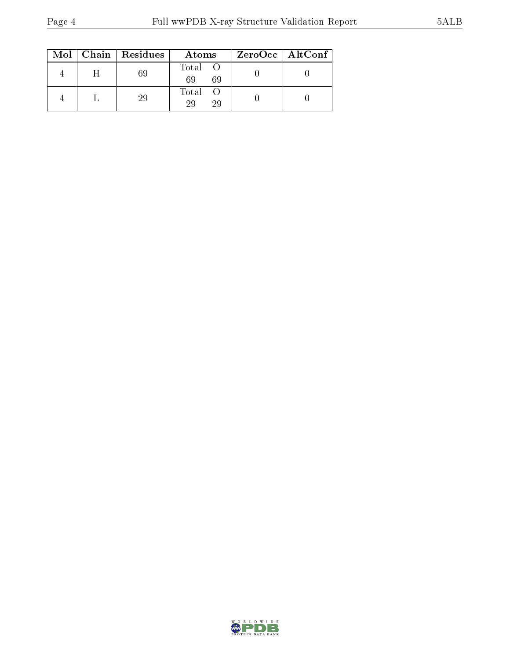|  | $Mol$   Chain   Residues | Atoms               | $ZeroOcc \   \ AltConf \  $ |
|--|--------------------------|---------------------|-----------------------------|
|  |                          | Total O<br>69<br>69 |                             |
|  | 29                       | Total O<br>29<br>29 |                             |

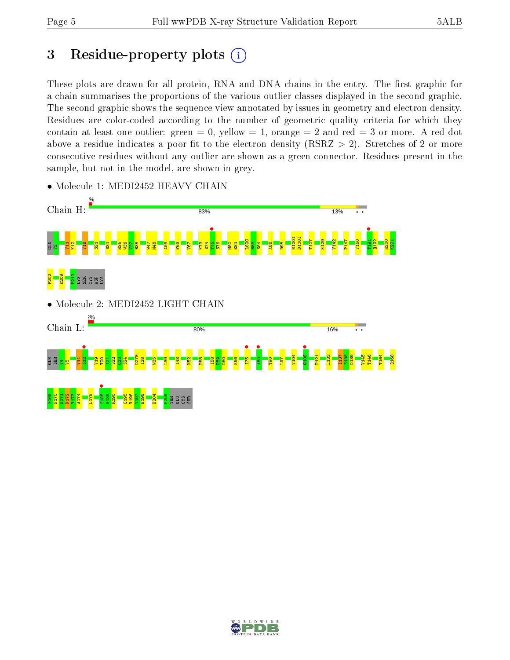# 3 Residue-property plots  $(i)$

These plots are drawn for all protein, RNA and DNA chains in the entry. The first graphic for a chain summarises the proportions of the various outlier classes displayed in the second graphic. The second graphic shows the sequence view annotated by issues in geometry and electron density. Residues are color-coded according to the number of geometric quality criteria for which they contain at least one outlier: green  $= 0$ , yellow  $= 1$ , orange  $= 2$  and red  $= 3$  or more. A red dot above a residue indicates a poor fit to the electron density (RSRZ  $> 2$ ). Stretches of 2 or more consecutive residues without any outlier are shown as a green connector. Residues present in the sample, but not in the model, are shown in grey.



• Molecule 1: MEDI2452 HEAVY CHAIN

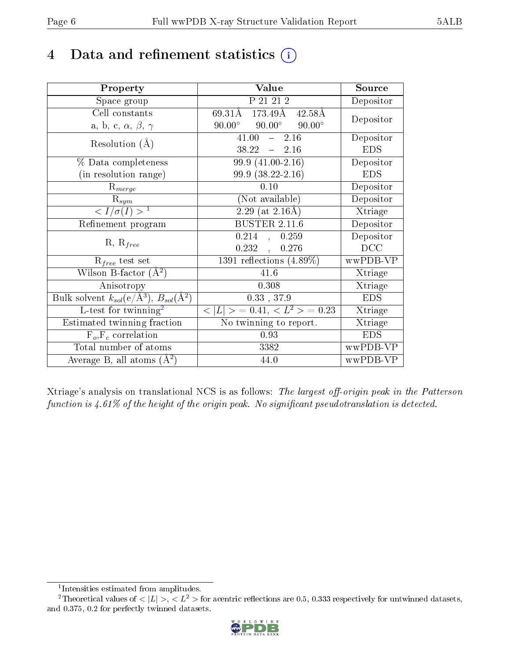## 4 Data and refinement statistics  $(i)$

| Property                                                         | Value                                              | Source     |
|------------------------------------------------------------------|----------------------------------------------------|------------|
| Space group                                                      | P 21 21 2                                          | Depositor  |
| Cell constants                                                   | 69.31Å 173.49Å 42.58Å                              | Depositor  |
| a, b, c, $\alpha$ , $\beta$ , $\gamma$                           | $90.00^{\circ}$<br>$90.00^{\circ}$ $90.00^{\circ}$ |            |
| Resolution $(A)$                                                 | 41.00<br>$-2.16$                                   | Depositor  |
|                                                                  | $38.22 - 2.16$                                     | <b>EDS</b> |
| $\%$ Data completeness                                           | 99.9 (41.00-2.16)                                  | Depositor  |
| (in resolution range)                                            | 99.9 (38.22-2.16)                                  | <b>EDS</b> |
| $R_{merge}$                                                      | 0.10                                               | Depositor  |
| $\mathrm{R}_{sym}$                                               | (Not available)                                    | Depositor  |
| $\langle I/\sigma(I) \rangle^{-1}$                               | $2.29$ (at $2.16\text{\AA}$ )                      | Xtriage    |
| Refinement program                                               | <b>BUSTER 2.11.6</b>                               | Depositor  |
|                                                                  | $0.214$ , $0.259$                                  | Depositor  |
| $R, R_{free}$                                                    | 0.232,<br>0.276                                    | DCC        |
| $R_{free}$ test set                                              | 1391 reflections $(4.89\%)$                        | wwPDB-VP   |
| Wilson B-factor $(A^2)$                                          | 41.6                                               | Xtriage    |
| Anisotropy                                                       | 0.308                                              | Xtriage    |
| Bulk solvent $k_{sol}(\text{e}/\text{A}^3), B_{sol}(\text{A}^2)$ | $0.33$ , 37.9                                      | <b>EDS</b> |
| $L$ -test for twinning <sup>2</sup>                              | $< L >$ = 0.41, $< L2 >$ = 0.23                    | Xtriage    |
| Estimated twinning fraction                                      | No twinning to report.                             | Xtriage    |
| $\overline{F_o}, \overline{F_c}$ correlation                     | 0.93                                               | <b>EDS</b> |
| Total number of atoms                                            | 3382                                               | wwPDB-VP   |
| Average B, all atoms $(A^2)$                                     | 44.0                                               | wwPDB-VP   |

Xtriage's analysis on translational NCS is as follows: The largest off-origin peak in the Patterson function is  $4.61\%$  of the height of the origin peak. No significant pseudotranslation is detected.

<sup>&</sup>lt;sup>2</sup>Theoretical values of  $\langle |L| \rangle$ ,  $\langle L^2 \rangle$  for acentric reflections are 0.5, 0.333 respectively for untwinned datasets, and 0.375, 0.2 for perfectly twinned datasets.



<span id="page-5-1"></span><span id="page-5-0"></span><sup>1</sup> Intensities estimated from amplitudes.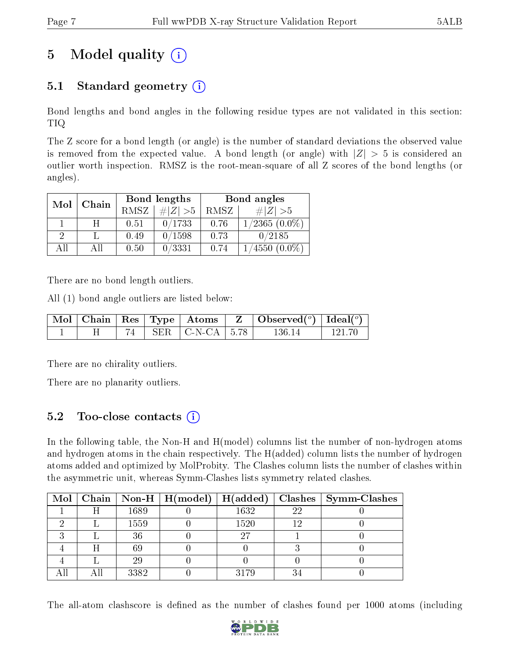# 5 Model quality  $(i)$

### 5.1 Standard geometry  $(i)$

Bond lengths and bond angles in the following residue types are not validated in this section: TIQ

The Z score for a bond length (or angle) is the number of standard deviations the observed value is removed from the expected value. A bond length (or angle) with  $|Z| > 5$  is considered an outlier worth inspection. RMSZ is the root-mean-square of all Z scores of the bond lengths (or angles).

| Mol | Chain |             | Bond lengths | Bond angles |                    |  |
|-----|-------|-------------|--------------|-------------|--------------------|--|
|     |       | <b>RMSZ</b> | $\ Z\  > 5$  | RMSZ        | $\# Z  > 5$        |  |
|     | H     | 0.51        | 0/1733       | 0.76        | $1/2365$ $(0.0\%)$ |  |
| 2   |       | 0.49        | 0/1598       | 0.73        | 0/2185             |  |
| AĦ  | АH    | 0.50        | 0/3331       | 0.74        | $(4550 (0.0\%)$    |  |

There are no bond length outliers.

All (1) bond angle outliers are listed below:

|  |  |                          | $\vert$ Mol $\vert$ Chain $\vert$ Res $\vert$ Type $\vert$ Atoms $\vert$ Z $\vert$ Observed( <sup>o</sup> ) $\vert$ Ideal( <sup>o</sup> ) |          |
|--|--|--------------------------|-------------------------------------------------------------------------------------------------------------------------------------------|----------|
|  |  | 74   SER   C-N-CA   5.78 | -136-14-                                                                                                                                  | - 121.70 |

There are no chirality outliers.

There are no planarity outliers.

#### 5.2 Too-close contacts (i)

In the following table, the Non-H and H(model) columns list the number of non-hydrogen atoms and hydrogen atoms in the chain respectively. The H(added) column lists the number of hydrogen atoms added and optimized by MolProbity. The Clashes column lists the number of clashes within the asymmetric unit, whereas Symm-Clashes lists symmetry related clashes.

|  |      |      |    | Mol   Chain   Non-H   H(model)   H(added)   Clashes   Symm-Clashes |
|--|------|------|----|--------------------------------------------------------------------|
|  | 1689 | 1632 | 22 |                                                                    |
|  | 1559 | 1520 |    |                                                                    |
|  | 36   | 97   |    |                                                                    |
|  | 69   |      |    |                                                                    |
|  | 29   |      |    |                                                                    |
|  | 3382 | 3179 |    |                                                                    |

The all-atom clashscore is defined as the number of clashes found per 1000 atoms (including

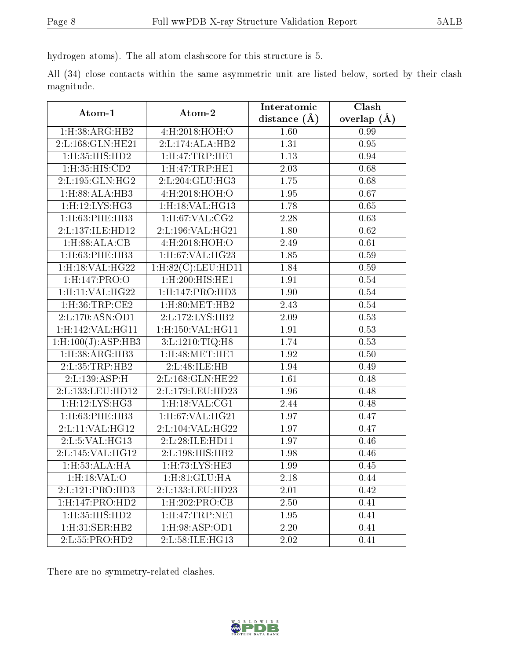hydrogen atoms). The all-atom clashscore for this structure is 5.

All (34) close contacts within the same asymmetric unit are listed below, sorted by their clash magnitude.

| Atom-1                        | Atom-2                                   | Interatomic    | Clash           |
|-------------------------------|------------------------------------------|----------------|-----------------|
|                               |                                          | distance $(A)$ | overlap $(\AA)$ |
| 1:H:38:ARG:HB2                | 4:H:2018:HOH:O                           | 1.60           | 0.99            |
| 2:L:168:GLN:HE21              | 2:L:174:ALA:HB2                          | 1.31           | 0.95            |
| 1:H:35:HIS:HD2                | $1:$ H $:47:$ TRP $:$ HE $1$             | 1.13           | 0.94            |
| 1:H:35:HIS:CD2                | $1:$ H $:47:$ TRP $:$ HE $1$             | 2.03           | 0.68            |
| 2:L:195:GLN:HG2               | 2:L:204:GLU:HG3                          | 1.75           | 0.68            |
| 1: H:88: ALA:HB3              | 4:H:2018:HOH:O                           | 1.95           | 0.67            |
| 1:H:12:LYS:HG3                | 1:H:18:VAL:H <sub>G13</sub>              | 1.78           | 0.65            |
| $1:$ H $:63:$ PHE $:$ HB $3$  | $1:$ H:67:VAL:CG2                        | 2.28           | 0.63            |
| 2:L:137:ILE:HD12              | 2:L:196:VAL:HG21                         | 1.80           | 0.62            |
| 1: H:88: ALA: CB              | 4:H:2018:HOH:O                           | 2.49           | 0.61            |
| 1:H:63:PHE:HB3                | $1:$ H:67:VAL:HG23                       | 1.85           | 0.59            |
| $1:$ H $:18:$ VAL $:$ H $G22$ | $1: H:82(C):$ LEU:HD11                   | 1.84           | 0.59            |
| 1:H:147:PRO:O                 | $1: H:200:H\overline{IS:H}\overline{E1}$ | 1.91           | 0.54            |
| 1:H:11:VAL:HG22               | 1: H: 147: PRO: HD3                      | 1.90           | 0.54            |
| $1:$ H $:36:$ TRP $:$ CE2     | $1:$ H $:80:$ MET $:$ HB $2$             | 2.43           | 0.54            |
| 2:L:170:ASN:OD1               | 2:L:172:LYS:HB2                          | 2.09           | 0.53            |
| 1:H:142:VAL:HG11              | 1:H:150:VAL:HG11                         | 1.91           | 0.53            |
| 1: H: 100(J): ASP: HB3        | 3:L:1210:TIQ:H8                          | 1.74           | 0.53            |
| 1:H:38:ARG:HB3                | $1:$ H:48:MET:HE1                        | 1.92           | 0.50            |
| 2:L:35:TRP:HB2                | 2:L:48:ILE:HB                            | 1.94           | 0.49            |
| 2:L:139:ASP:H                 | 2:L:168:GLN:HE22                         | 1.61           | 0.48            |
| 2:L:133:LEU:HD12              | 2:L:179:LEU:HD23                         | 1.96           | 0.48            |
| 1:H:12:LYS:HG3                | $1:$ H $:18:$ VAL $:CG1$                 | 2.44           | 0.48            |
| $1:$ H $:$ 63:PHE:HB3         | $1:$ H $:67:$ VAL $:$ H $G21$            | 1.97           | 0.47            |
| 2: L: 11: VAL: HG12           | 2:L:104:VAL:HG22                         | 1.97           | 0.47            |
| 2:L:5:VAL:HG13                | 2:L:28:ILE:HD11                          | 1.97           | 0.46            |
| 2:L:145:VAL:HG12              | 2:L:198:HIS:HB2                          | 1.98           | 0.46            |
| $1:$ H $:53:$ ALA:HA          | 1:H:73:LYS:HE3                           | 1.99           | 0.45            |
| 1:H:18:VAL:O                  | 1:H:81:GLU:HA                            | 2.18           | 0.44            |
| 2: L: 121: PRO: HD3           | 2:L:133:LEU:HD23                         | 2.01           | 0.42            |
| 1:H:147:PRO:HD2               | 1:H:202:PRO:CB                           | 2.50           | 0.41            |
| 1:H:35:HIS:HD2                | $1:$ H $:47:$ TRP $:$ NE1                | 1.95           | 0.41            |
| $1:$ H $:31:$ SER $:$ HB $2$  | $1:$ H:98:ASP:OD1                        | 2.20           | 0.41            |
| 2:L:55:PRO:HD2                | 2:L:58:ILE:HG13                          | 2.02           | 0.41            |

There are no symmetry-related clashes.

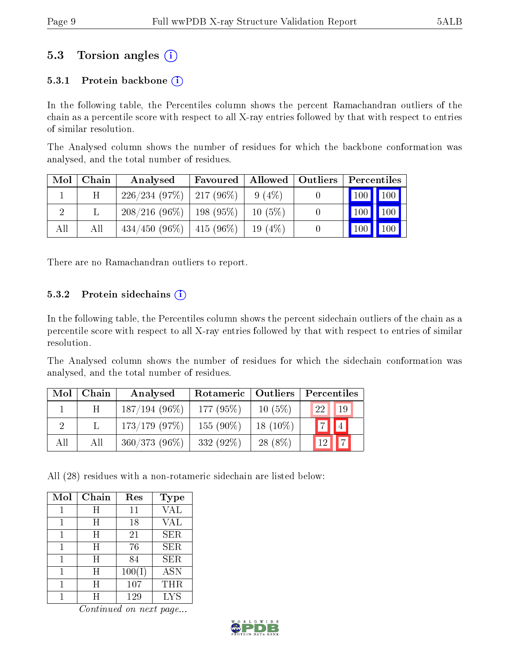### 5.3 Torsion angles (i)

#### 5.3.1 Protein backbone  $(i)$

In the following table, the Percentiles column shows the percent Ramachandran outliers of the chain as a percentile score with respect to all X-ray entries followed by that with respect to entries of similar resolution.

The Analysed column shows the number of residues for which the backbone conformation was analysed, and the total number of residues.

| Mol | Chain | Analysed                     | Favoured    | Allowed   | Outliers |         | Percentiles |
|-----|-------|------------------------------|-------------|-----------|----------|---------|-------------|
|     | H     | $226/234(97\%)$   217 (96\%) |             | 9(4%)     |          | 100 100 |             |
|     |       | $208/216(96\%)$              | $198(95\%)$ | $10(5\%)$ | U        | 100     | 100         |
| All | Аll   | $434/450(96\%)$              | $415(96\%)$ | 19 $(4%)$ |          | 100     | 100         |

There are no Ramachandran outliers to report.

#### 5.3.2 Protein sidechains  $(i)$

In the following table, the Percentiles column shows the percent sidechain outliers of the chain as a percentile score with respect to all X-ray entries followed by that with respect to entries of similar resolution.

The Analysed column shows the number of residues for which the sidechain conformation was analysed, and the total number of residues.

| Mol | Chain | Analysed         | Rotameric   Outliers |            | Percentiles                  |
|-----|-------|------------------|----------------------|------------|------------------------------|
|     | H     | $187/194(96\%)$  | 177 $(95%)$          | $10(5\%)$  | 19 <sup>1</sup><br><b>22</b> |
|     |       | $173/179$ (97\%) | 155 $(90\%)$         | $18(10\%)$ | $\vert 4 \vert$<br>$ \tau $  |
| All | All   | $360/373(96\%)$  | $332(92\%)$          | $28(8\%)$  |                              |

All (28) residues with a non-rotameric sidechain are listed below:

| Mol | Chain | Res    | <b>Type</b> |
|-----|-------|--------|-------------|
|     | Η     | 11     | <b>VAL</b>  |
| 1   | Η     | 18     | VAL         |
| 1   | Η     | 21     | <b>SER</b>  |
|     | H     | 76     | <b>SER</b>  |
|     | H     | 84     | <b>SER</b>  |
|     | H     | 100(I) | ASN         |
|     | H     | 107    | THR         |
|     |       | 129    | <b>LYS</b>  |

Continued on next page...

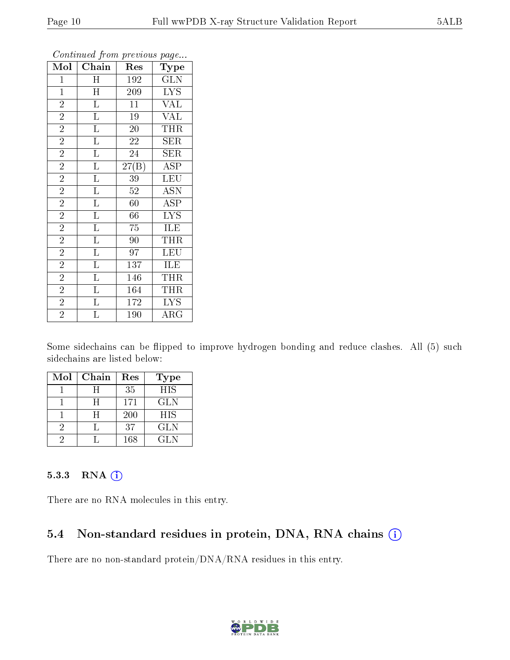| Mol            | Chain                   | Res                | ${\bf \overline{Type}}$ |
|----------------|-------------------------|--------------------|-------------------------|
| $\mathbf{1}$   | $\mathbf H$             | 192                | <b>GLN</b>              |
| $\mathbf{1}$   | H                       | 209                | $\overline{\text{LYS}}$ |
| $\overline{2}$ | $\overline{\mathbf{L}}$ | $\overline{11}$    | <b>VAL</b>              |
| $\overline{2}$ | $\overline{\mathrm{L}}$ | 19                 | <b>VAL</b>              |
| $\overline{2}$ | $\overline{\mathrm{L}}$ | $\overline{20}$    | <b>THR</b>              |
| $\overline{2}$ | $\overline{\mathrm{L}}$ | 22                 | <b>SER</b>              |
| $\overline{2}$ | $\overline{\mathrm{L}}$ | $\overline{24}$    | <b>SER</b>              |
| $\overline{2}$ | $\overline{\mathbf{L}}$ | $\overline{27(B)}$ | <b>ASP</b>              |
| $\overline{2}$ | $\overline{\mathrm{L}}$ | $39\,$             | <b>LEU</b>              |
| $\overline{2}$ | $\overline{\mathrm{L}}$ | $\overline{52}$    | <b>ASN</b>              |
| $\overline{2}$ | $\overline{\mathrm{L}}$ | 60                 | <b>ASP</b>              |
| $\overline{2}$ | $\overline{\mathbf{L}}$ | 66                 | $\overline{\text{LYS}}$ |
| $\overline{2}$ | $\overline{\mathrm{L}}$ | 75                 | <b>ILE</b>              |
| $\overline{2}$ | $\overline{\mathrm{L}}$ | 90                 | $\overline{\text{THR}}$ |
| $\overline{2}$ | $\overline{\text{L}}$   | 97                 | LEU                     |
| $\overline{2}$ | $\overline{\mathbf{L}}$ | 137                | ILE                     |
| $\overline{2}$ | $\overline{\mathrm{L}}$ | 146                | <b>THR</b>              |
| $\overline{2}$ | $\Gamma$                | 164                | <b>THR</b>              |
| $\overline{2}$ | $\Gamma$                | $\overline{1}$ 72  | <b>LYS</b>              |
| $\overline{2}$ | $\overline{\mathrm{L}}$ | 190                | $\overline{\rm{ARG}}$   |

Continued from previous page...

Some sidechains can be flipped to improve hydrogen bonding and reduce clashes. All (5) such sidechains are listed below:

| Mol | Chain | Res | <b>Type</b> |
|-----|-------|-----|-------------|
|     |       | 35  | <b>HIS</b>  |
|     | H     | 171 | <b>GLN</b>  |
|     | H     | 200 | <b>HIS</b>  |
| ٠,  |       | 37  | <b>GLN</b>  |
|     |       | 168 | GL N        |

#### 5.3.3 RNA [O](https://www.wwpdb.org/validation/2017/XrayValidationReportHelp#rna)i

There are no RNA molecules in this entry.

### 5.4 Non-standard residues in protein, DNA, RNA chains (i)

There are no non-standard protein/DNA/RNA residues in this entry.

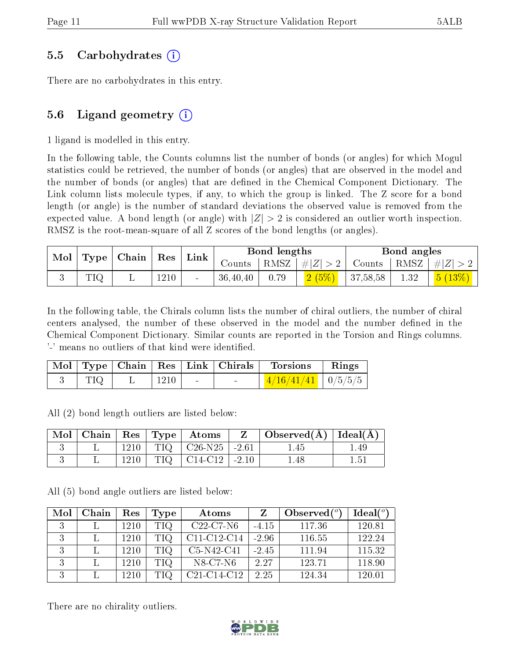#### 5.5 Carbohydrates (i)

There are no carbohydrates in this entry.

### 5.6 Ligand geometry  $(i)$

1 ligand is modelled in this entry.

In the following table, the Counts columns list the number of bonds (or angles) for which Mogul statistics could be retrieved, the number of bonds (or angles) that are observed in the model and the number of bonds (or angles) that are defined in the Chemical Component Dictionary. The Link column lists molecule types, if any, to which the group is linked. The Z score for a bond length (or angle) is the number of standard deviations the observed value is removed from the expected value. A bond length (or angle) with  $|Z| > 2$  is considered an outlier worth inspection. RMSZ is the root-mean-square of all Z scores of the bond lengths (or angles).

| $\operatorname{Mol}$ |     | Type   Chain   Res   Link |      |        |            | Bond lengths |                                        |          | Bond angles |                                                        |
|----------------------|-----|---------------------------|------|--------|------------|--------------|----------------------------------------|----------|-------------|--------------------------------------------------------|
|                      |     |                           |      |        |            |              | Counts   RMSZ $\vert \#  Z  > 2 \vert$ |          |             | $\vert$ Counts $\vert$ RMSZ $\vert \#  Z  > 2$ $\vert$ |
|                      | TIQ |                           | 1210 | $\sim$ | 36, 40, 40 | 0.79         | 2(5%)                                  | 37,58,58 | 1.32        | $\mid$ $5 \ (13\%) \mid$                               |

In the following table, the Chirals column lists the number of chiral outliers, the number of chiral centers analysed, the number of these observed in the model and the number defined in the Chemical Component Dictionary. Similar counts are reported in the Torsion and Rings columns. '-' means no outliers of that kind were identified.

|     |                      | Mol   Type   Chain   Res   Link   Chirals | Torsions                     | $\mathbf{Rings}$ |
|-----|----------------------|-------------------------------------------|------------------------------|------------------|
| TIQ | $\pm$ 1210 $\vert$ - | <b>Contract Contract</b>                  | $\frac{4/16/41/41}{9/5/5/5}$ |                  |

All (2) bond length outliers are listed below:

| $\text{Mol}$ |      | $\vert$ Chain $\vert$ Res $\vert$ Type $\vert$ Atoms | $\mathbf{Z}$ | $\mid$ Observed( $\AA$ ) $\mid$ Ideal( $\AA$ ) |      |
|--------------|------|------------------------------------------------------|--------------|------------------------------------------------|------|
|              | 1210 | $TIO$ $C26-N25$ $-2.61$                              |              | .45                                            | 1.49 |
|              | 1210 | $TIQ$   C14-C12   -2.10                              |              | 1.48                                           |      |

All (5) bond angle outliers are listed below:

| Mol | Chain | Res  | Type | Atoms                                             |         | Observed $(°)$ | Ideal $(°)$ |
|-----|-------|------|------|---------------------------------------------------|---------|----------------|-------------|
| 3   |       | 1210 | TIQ  | $C22-C7-N6$                                       | $-4.15$ | 117.36         | 120.81      |
| 3   |       | 1210 | TIQ  | C11-C12-C14                                       | $-2.96$ | 116.55         | 122.24      |
| 3   |       | 1210 | TIQ  | $C5-N42-C41$                                      | $-2.45$ | 111.94         | 115.32      |
| 3   |       | 1210 | TIQ. | N8-C7-N6                                          | 2.27    | 123.71         | 118.90      |
| २   |       | 1210 | TIO  | C <sub>21</sub> -C <sub>14</sub> -C <sub>12</sub> | 2.25    | 124.34         | 120.01      |

There are no chirality outliers.

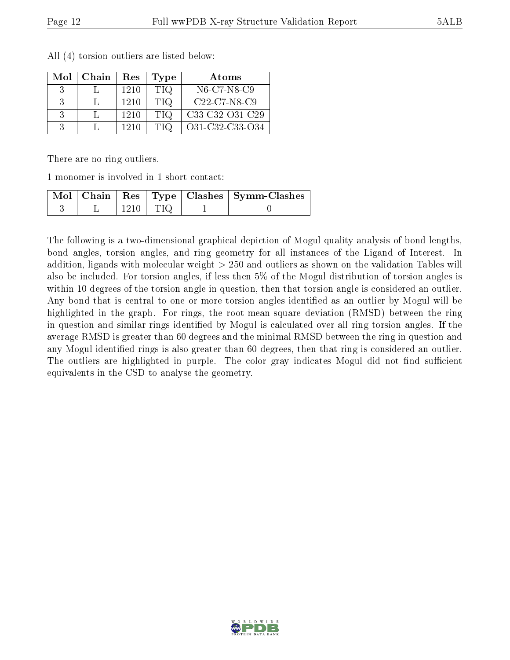| Mol | Chain | Res  | Type       | Atoms           |
|-----|-------|------|------------|-----------------|
|     |       | 1210 | <b>TIQ</b> | N6-C7-N8-C9     |
|     |       | 1210 | <b>TIQ</b> | $C22-C7-N8-C9$  |
|     |       | 1210 | <b>TIQ</b> | C33-C32-O31-C29 |
|     |       | 1210 | TIQ        | O31-C32-C33-O34 |

All (4) torsion outliers are listed below:

There are no ring outliers.

1 monomer is involved in 1 short contact:

|  |  | Mol   Chain   Res   Type   Clashes   Symm-Clashes |
|--|--|---------------------------------------------------|
|  |  |                                                   |

The following is a two-dimensional graphical depiction of Mogul quality analysis of bond lengths, bond angles, torsion angles, and ring geometry for all instances of the Ligand of Interest. In addition, ligands with molecular weight > 250 and outliers as shown on the validation Tables will also be included. For torsion angles, if less then 5% of the Mogul distribution of torsion angles is within 10 degrees of the torsion angle in question, then that torsion angle is considered an outlier. Any bond that is central to one or more torsion angles identified as an outlier by Mogul will be highlighted in the graph. For rings, the root-mean-square deviation (RMSD) between the ring in question and similar rings identified by Mogul is calculated over all ring torsion angles. If the average RMSD is greater than 60 degrees and the minimal RMSD between the ring in question and any Mogul-identified rings is also greater than 60 degrees, then that ring is considered an outlier. The outliers are highlighted in purple. The color gray indicates Mogul did not find sufficient equivalents in the CSD to analyse the geometry.

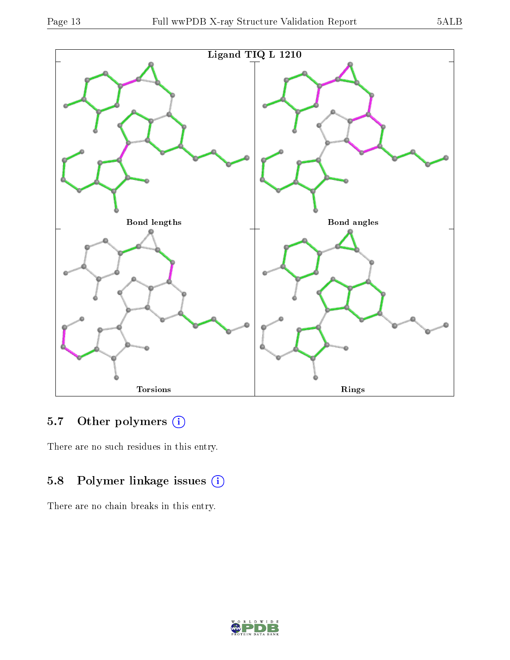

### 5.7 [O](https://www.wwpdb.org/validation/2017/XrayValidationReportHelp#nonstandard_residues_and_ligands)ther polymers (i)

There are no such residues in this entry.

### 5.8 Polymer linkage issues (i)

There are no chain breaks in this entry.

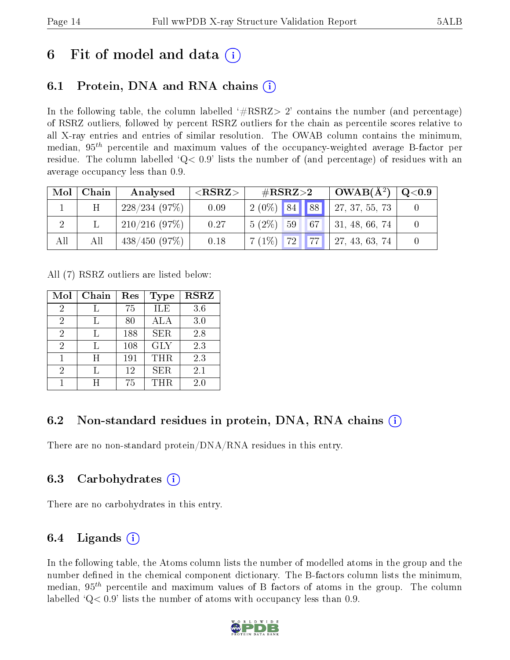## 6 Fit of model and data  $\left( \cdot \right)$

### 6.1 Protein, DNA and RNA chains (i)

In the following table, the column labelled  $#RSRZ>2'$  contains the number (and percentage) of RSRZ outliers, followed by percent RSRZ outliers for the chain as percentile scores relative to all X-ray entries and entries of similar resolution. The OWAB column contains the minimum, median,  $95<sup>th</sup>$  percentile and maximum values of the occupancy-weighted average B-factor per residue. The column labelled  $Q < 0.9$  lists the number of (and percentage) of residues with an average occupancy less than 0.9.

| Mol | Chain | Analysed     | ${ <\hspace{-1.5pt}{\mathrm{RSRZ}} \hspace{-1.5pt}>}$ | # $RSRZ>2$                       |  | $OWAB(A^2)$                  | $\rm Q\textcolor{black}{<}0.9$ |
|-----|-------|--------------|-------------------------------------------------------|----------------------------------|--|------------------------------|--------------------------------|
|     | H     | 228/234(97%) | 0.09                                                  | $2(0\%)$ 84 88                   |  | 27, 37, 55, 73               |                                |
|     |       | 210/216(97%) | 0.27                                                  | $5(2\%)$<br>59 67 1              |  | $\vert 31, 48, 66, 74 \vert$ |                                |
| All | All   | 438/450(97%) | 0.18                                                  | 72 <b>   </b> 77    <br>$7(1\%)$ |  | 27, 43, 63, 74               |                                |

All (7) RSRZ outliers are listed below:

| Mol | Chain | Res | Type       | <b>RSRZ</b> |
|-----|-------|-----|------------|-------------|
| 2   |       | 75  | ILE        | 3.6         |
| 2   |       | 80  | ALA        | 3.0         |
| 2   |       | 188 | <b>SER</b> | 2.8         |
| 2   |       | 108 | <b>GLY</b> | 2.3         |
|     | H     | 191 | <b>THR</b> | 2.3         |
| 2   |       | 12  | <b>SER</b> | 2.1         |
|     |       | 75  | THR        | 2.0         |

### 6.2 Non-standard residues in protein, DNA, RNA chains (i)

There are no non-standard protein/DNA/RNA residues in this entry.

#### 6.3 Carbohydrates (i)

There are no carbohydrates in this entry.

### 6.4 Ligands  $(i)$

In the following table, the Atoms column lists the number of modelled atoms in the group and the number defined in the chemical component dictionary. The B-factors column lists the minimum, median,  $95<sup>th</sup>$  percentile and maximum values of B factors of atoms in the group. The column labelled  $Q< 0.9$ ' lists the number of atoms with occupancy less than 0.9.